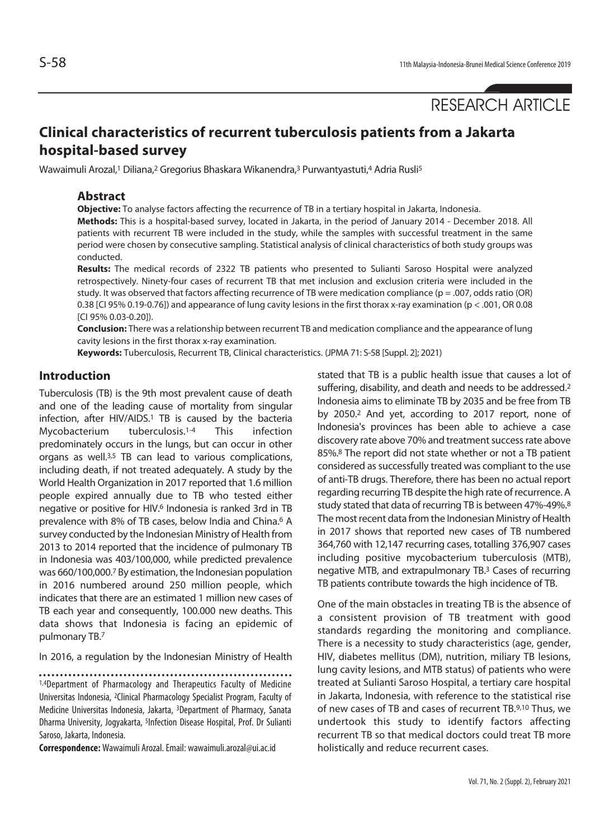# **Clinical characteristics of recurrent tuberculosis patients from a Jakarta hospital-based survey**

Wawaimuli Arozal,1 Diliana,2 Gregorius Bhaskara Wikanendra,3 Purwantyastuti,4 Adria Rusli5

#### **Abstract**

**Objective:** To analyse factors affecting the recurrence of TB in a tertiary hospital in Jakarta, Indonesia. **Methods:** This is a hospital-based survey, located in Jakarta, in the period of January 2014 - December 2018. All patients with recurrent TB were included in the study, while the samples with successful treatment in the same period were chosen by consecutive sampling. Statistical analysis of clinical characteristics of both study groups was conducted.

**Results:** The medical records of 2322 TB patients who presented to Sulianti Saroso Hospital were analyzed retrospectively. Ninety-four cases of recurrent TB that met inclusion and exclusion criteria were included in the study. It was observed that factors affecting recurrence of TB were medication compliance (p = .007, odds ratio (OR) 0.38 [CI 95% 0.19-0.76]) and appearance of lung cavity lesions in the first thorax x-ray examination (p < .001, OR 0.08 [CI 95% 0.03-0.20]).

**Conclusion:** There was a relationship between recurrent TB and medication compliance and the appearance of lung cavity lesions in the first thorax x-ray examination.

**Keywords:** Tuberculosis, Recurrent TB, Clinical characteristics. (JPMA 71: S-58 [Suppl. 2]; 2021)

### **Introduction**

Tuberculosis (TB) is the 9th most prevalent cause of death and one of the leading cause of mortality from singular infection, after HIV/AIDS.<sup>1</sup> TB is caused by the bacteria Mycobacterium tuberculosis.1-4 This infection predominately occurs in the lungs, but can occur in other organs as well.3,5 TB can lead to various complications, including death, if not treated adequately. A study by the World Health Organization in 2017 reported that 1.6 million people expired annually due to TB who tested either negative or positive for HIV.6 Indonesia is ranked 3rd in TB prevalence with 8% of TB cases, below India and China.6 A survey conducted by the Indonesian Ministry of Health from 2013 to 2014 reported that the incidence of pulmonary TB in Indonesia was 403/100,000, while predicted prevalence was 660/100,000.7 By estimation, the Indonesian population in 2016 numbered around 250 million people, which indicates that there are an estimated 1 million new cases of TB each year and consequently, 100.000 new deaths. This data shows that Indonesia is facing an epidemic of pulmonary TB.7

In 2016, a regulation by the Indonesian Ministry of Health

1,4Department of Pharmacology and Therapeutics Faculty of Medicine Universitas Indonesia, 2Clinical Pharmacology Specialist Program, Faculty of Medicine Universitas Indonesia, Jakarta, 3Department of Pharmacy, Sanata Dharma University, Jogyakarta, 5Infection Disease Hospital, Prof. Dr Sulianti Saroso, Jakarta, Indonesia.

**Correspondence:** Wawaimuli Arozal. Email: wawaimuli.arozal@ui.ac.id

stated that TB is a public health issue that causes a lot of suffering, disability, and death and needs to be addressed.<sup>2</sup> Indonesia aims to eliminate TB by 2035 and be free from TB by 2050.2 And yet, according to 2017 report, none of Indonesia's provinces has been able to achieve a case discovery rate above 70% and treatment success rate above 85%.8 The report did not state whether or not a TB patient considered as successfully treated was compliant to the use of anti-TB drugs. Therefore, there has been no actual report regarding recurring TB despite the high rate of recurrence. A study stated that data of recurring TB is between 47%-49%.8 The most recent data from the Indonesian Ministry of Health in 2017 shows that reported new cases of TB numbered 364,760 with 12,147 recurring cases, totalling 376,907 cases including positive mycobacterium tuberculosis (MTB), negative MTB, and extrapulmonary TB.3 Cases of recurring TB patients contribute towards the high incidence of TB.

One of the main obstacles in treating TB is the absence of a consistent provision of TB treatment with good standards regarding the monitoring and compliance. There is a necessity to study characteristics (age, gender, HIV, diabetes mellitus (DM), nutrition, miliary TB lesions, lung cavity lesions, and MTB status) of patients who were treated at Sulianti Saroso Hospital, a tertiary care hospital in Jakarta, Indonesia, with reference to the statistical rise of new cases of TB and cases of recurrent TB.9,10 Thus, we undertook this study to identify factors affecting recurrent TB so that medical doctors could treat TB more holistically and reduce recurrent cases.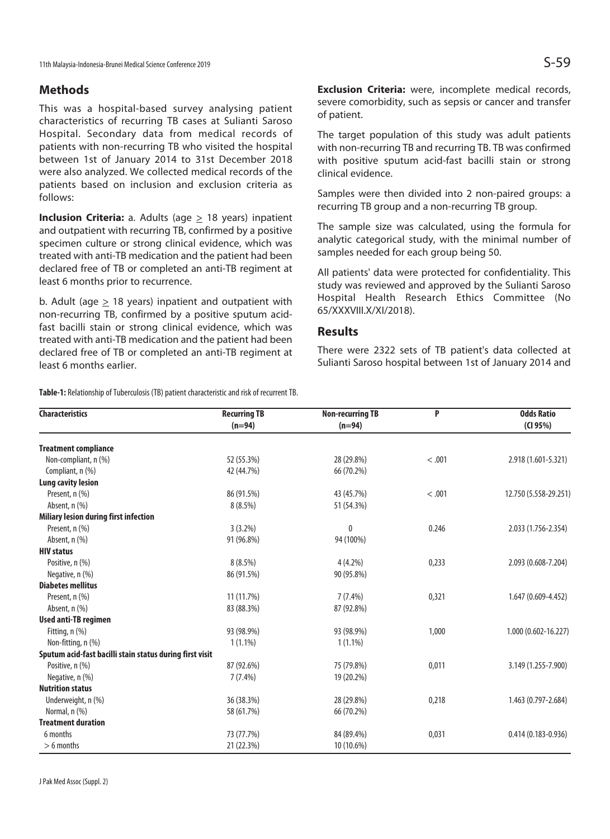11th Malaysia-Indonesia-Brunei Medical Science Conference 2019  $\mathsf{S}\text{-}59$ 

### **Methods**

This was a hospital-based survey analysing patient characteristics of recurring TB cases at Sulianti Saroso Hospital. Secondary data from medical records of patients with non-recurring TB who visited the hospital between 1st of January 2014 to 31st December 2018 were also analyzed. We collected medical records of the patients based on inclusion and exclusion criteria as follows:

**Inclusion Criteria:** a. Adults (age  $\geq$  18 years) inpatient and outpatient with recurring TB, confirmed by a positive specimen culture or strong clinical evidence, which was treated with anti-TB medication and the patient had been declared free of TB or completed an anti-TB regiment at least 6 months prior to recurrence.

b. Adult (age > 18 years) inpatient and outpatient with non-recurring TB, confirmed by a positive sputum acidfast bacilli stain or strong clinical evidence, which was treated with anti-TB medication and the patient had been declared free of TB or completed an anti-TB regiment at least 6 months earlier.

**Table-1:** Relationship of Tuberculosis (TB) patient characteristic and risk of recurrent TB.

**Exclusion Criteria:** were, incomplete medical records, severe comorbidity, such as sepsis or cancer and transfer of patient.

The target population of this study was adult patients with non-recurring TB and recurring TB. TB was confirmed with positive sputum acid-fast bacilli stain or strong clinical evidence.

Samples were then divided into 2 non-paired groups: a recurring TB group and a non-recurring TB group.

The sample size was calculated, using the formula for analytic categorical study, with the minimal number of samples needed for each group being 50.

All patients' data were protected for confidentiality. This study was reviewed and approved by the Sulianti Saroso Hospital Health Research Ethics Committee (No 65/XXXVIII.X/XI/2018).

#### **Results**

There were 2322 sets of TB patient's data collected at Sulianti Saroso hospital between 1st of January 2014 and

| <b>Characteristics</b>                                   | <b>Recurring TB</b> | <b>Non-recurring TB</b> | P      | <b>Odds Ratio</b><br>(CI 95%) |
|----------------------------------------------------------|---------------------|-------------------------|--------|-------------------------------|
|                                                          | $(n=94)$            | $(n=94)$                |        |                               |
| <b>Treatment compliance</b>                              |                     |                         |        |                               |
| Non-compliant, n (%)                                     | 52 (55.3%)          | 28 (29.8%)              | < .001 | 2.918 (1.601-5.321)           |
| Compliant, n (%)                                         | 42 (44.7%)          | 66 (70.2%)              |        |                               |
| <b>Lung cavity lesion</b>                                |                     |                         |        |                               |
| Present, n (%)                                           | 86 (91.5%)          | 43 (45.7%)              | < .001 | 12.750 (5.558-29.251)         |
| Absent, n (%)                                            | $8(8.5\%)$          | 51 (54.3%)              |        |                               |
| Miliary lesion during first infection                    |                     |                         |        |                               |
| Present, n (%)                                           | $3(3.2\%)$          | 0                       | 0.246  | 2.033 (1.756-2.354)           |
| Absent, $n$ $(\%)$                                       | 91 (96.8%)          | 94 (100%)               |        |                               |
| <b>HIV status</b>                                        |                     |                         |        |                               |
| Positive, n (%)                                          | $8(8.5\%)$          | $4(4.2\%)$              | 0,233  | 2.093 (0.608-7.204)           |
| Negative, n (%)                                          | 86 (91.5%)          | 90 (95.8%)              |        |                               |
| <b>Diabetes mellitus</b>                                 |                     |                         |        |                               |
| Present, n (%)                                           | 11 (11.7%)          | $7(7.4\%)$              | 0,321  | 1.647 (0.609-4.452)           |
| Absent, $n$ $(\%)$                                       | 83 (88.3%)          | 87 (92.8%)              |        |                               |
| <b>Used anti-TB regimen</b>                              |                     |                         |        |                               |
| Fitting, $n$ $(\%)$                                      | 93 (98.9%)          | 93 (98.9%)              | 1,000  | 1.000 (0.602-16.227)          |
| Non-fitting, n (%)                                       | $1(1.1\%)$          | $1(1.1\%)$              |        |                               |
| Sputum acid-fast bacilli stain status during first visit |                     |                         |        |                               |
| Positive, n (%)                                          | 87 (92.6%)          | 75 (79.8%)              | 0,011  | 3.149 (1.255-7.900)           |
| Negative, n (%)                                          | $7(7.4\%)$          | 19 (20.2%)              |        |                               |
| <b>Nutrition status</b>                                  |                     |                         |        |                               |
| Underweight, n (%)                                       | 36 (38.3%)          | 28 (29.8%)              | 0,218  | 1.463 (0.797-2.684)           |
| Normal, n (%)                                            | 58 (61.7%)          | 66 (70.2%)              |        |                               |
| <b>Treatment duration</b>                                |                     |                         |        |                               |
| 6 months                                                 | 73 (77.7%)          | 84 (89.4%)              | 0,031  | $0.414(0.183 - 0.936)$        |
| $> 6$ months                                             | 21 (22.3%)          | 10 (10.6%)              |        |                               |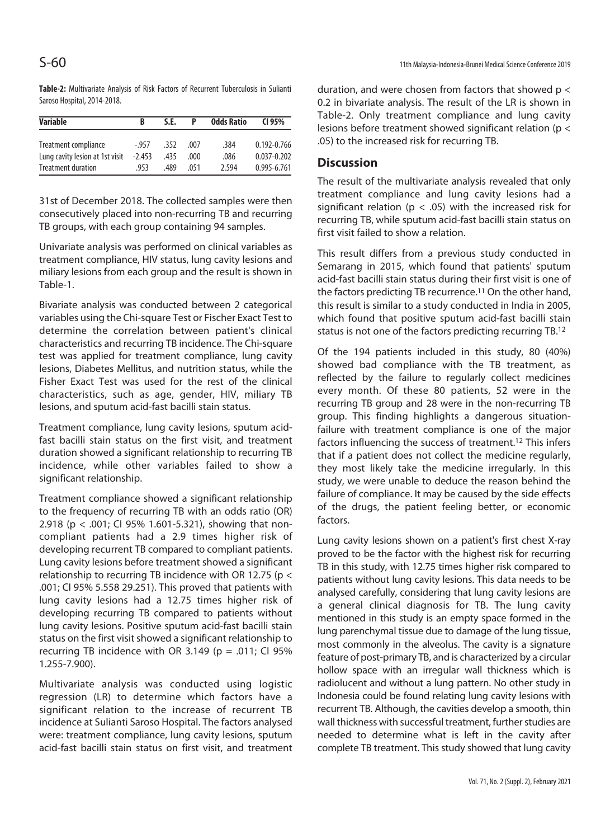**Table-2:** Multivariate Analysis of Risk Factors of Recurrent Tuberculosis in Sulianti Saroso Hospital, 2014-2018.

| <b>Variable</b>                 | B        | S.E. |       | <b>Odds Ratio</b> | CI 95%          |
|---------------------------------|----------|------|-------|-------------------|-----------------|
| Treatment compliance            | $-957$   | .352 | .007  | .384              | 0.192-0.766     |
| Lung cavity lesion at 1st visit | $-2.453$ | .435 | .000. | .086              | $0.037 - 0.202$ |
| <b>Treatment duration</b>       | 953      | .489 | 051   | 2.594             | 0.995-6.761     |

31st of December 2018. The collected samples were then consecutively placed into non-recurring TB and recurring TB groups, with each group containing 94 samples.

Univariate analysis was performed on clinical variables as treatment compliance, HIV status, lung cavity lesions and miliary lesions from each group and the result is shown in Table-1.

Bivariate analysis was conducted between 2 categorical variables using the Chi-square Test or Fischer Exact Test to determine the correlation between patient's clinical characteristics and recurring TB incidence. The Chi-square test was applied for treatment compliance, lung cavity lesions, Diabetes Mellitus, and nutrition status, while the Fisher Exact Test was used for the rest of the clinical characteristics, such as age, gender, HIV, miliary TB lesions, and sputum acid-fast bacilli stain status.

Treatment compliance, lung cavity lesions, sputum acidfast bacilli stain status on the first visit, and treatment duration showed a significant relationship to recurring TB incidence, while other variables failed to show a significant relationship.

Treatment compliance showed a significant relationship to the frequency of recurring TB with an odds ratio (OR) 2.918 (p < .001; CI 95% 1.601-5.321), showing that noncompliant patients had a 2.9 times higher risk of developing recurrent TB compared to compliant patients. Lung cavity lesions before treatment showed a significant relationship to recurring TB incidence with OR 12.75 ( $p <$ .001; CI 95% 5.558 29.251). This proved that patients with lung cavity lesions had a 12.75 times higher risk of developing recurring TB compared to patients without lung cavity lesions. Positive sputum acid-fast bacilli stain status on the first visit showed a significant relationship to recurring TB incidence with OR 3.149 ( $p = .011$ ; CI 95% 1.255-7.900).

Multivariate analysis was conducted using logistic regression (LR) to determine which factors have a significant relation to the increase of recurrent TB incidence at Sulianti Saroso Hospital. The factors analysed were: treatment compliance, lung cavity lesions, sputum acid-fast bacilli stain status on first visit, and treatment duration, and were chosen from factors that showed  $p <$ 0.2 in bivariate analysis. The result of the LR is shown in Table-2. Only treatment compliance and lung cavity lesions before treatment showed significant relation (p < .05) to the increased risk for recurring TB.

### **Discussion**

The result of the multivariate analysis revealed that only treatment compliance and lung cavity lesions had a significant relation ( $p < .05$ ) with the increased risk for recurring TB, while sputum acid-fast bacilli stain status on first visit failed to show a relation.

This result differs from a previous study conducted in Semarang in 2015, which found that patients' sputum acid-fast bacilli stain status during their first visit is one of the factors predicting TB recurrence.11 On the other hand, this result is similar to a study conducted in India in 2005, which found that positive sputum acid-fast bacilli stain status is not one of the factors predicting recurring TB.12

Of the 194 patients included in this study, 80 (40%) showed bad compliance with the TB treatment, as reflected by the failure to regularly collect medicines every month. Of these 80 patients, 52 were in the recurring TB group and 28 were in the non-recurring TB group. This finding highlights a dangerous situationfailure with treatment compliance is one of the major factors influencing the success of treatment.12 This infers that if a patient does not collect the medicine regularly, they most likely take the medicine irregularly. In this study, we were unable to deduce the reason behind the failure of compliance. It may be caused by the side effects of the drugs, the patient feeling better, or economic factors.

Lung cavity lesions shown on a patient's first chest X-ray proved to be the factor with the highest risk for recurring TB in this study, with 12.75 times higher risk compared to patients without lung cavity lesions. This data needs to be analysed carefully, considering that lung cavity lesions are a general clinical diagnosis for TB. The lung cavity mentioned in this study is an empty space formed in the lung parenchymal tissue due to damage of the lung tissue, most commonly in the alveolus. The cavity is a signature feature of post-primary TB, and is characterized by a circular hollow space with an irregular wall thickness which is radiolucent and without a lung pattern. No other study in Indonesia could be found relating lung cavity lesions with recurrent TB. Although, the cavities develop a smooth, thin wall thickness with successful treatment, further studies are needed to determine what is left in the cavity after complete TB treatment. This study showed that lung cavity